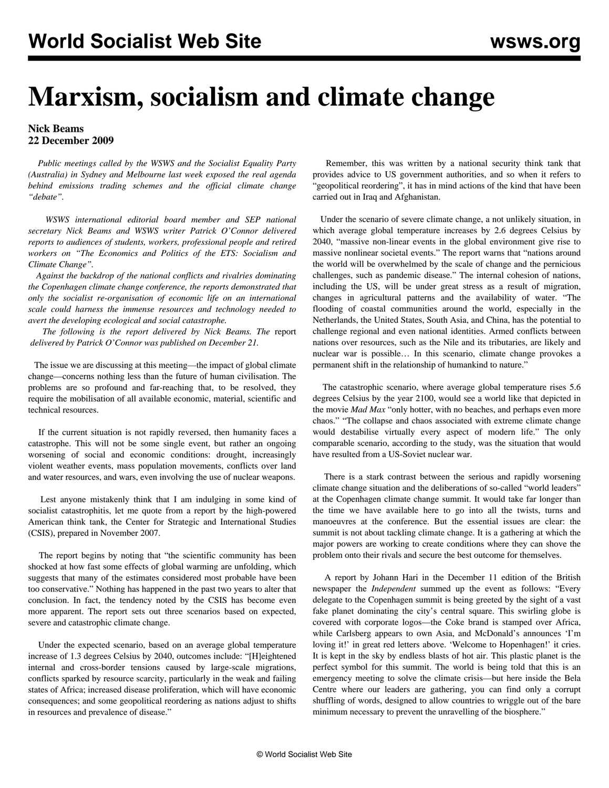# **Marxism, socialism and climate change**

## **Nick Beams 22 December 2009**

 *Public meetings called by the WSWS and the Socialist Equality Party (Australia) in Sydney and Melbourne last week exposed the real agenda behind emissions trading schemes and the official climate change "debate".*

 *WSWS international editorial board member and SEP national secretary Nick Beams and WSWS writer Patrick O'Connor delivered reports to audiences of students, workers, professional people and retired workers on "The Economics and Politics of the ETS: Socialism and Climate Change".*

 *Against the backdrop of the national conflicts and rivalries dominating the Copenhagen climate change conference, the reports demonstrated that only the socialist re-organisation of economic life on an international scale could harness the immense resources and technology needed to avert the developing ecological and social catastrophe.*

 *The following is the report delivered by Nick Beams. The* [report](etpo-d21.shtml)  *delivered by Patrick O'Connor was published on December 21.*

 The issue we are discussing at this meeting—the impact of global climate change—concerns nothing less than the future of human civilisation. The problems are so profound and far-reaching that, to be resolved, they require the mobilisation of all available economic, material, scientific and technical resources.

 If the current situation is not rapidly reversed, then humanity faces a catastrophe. This will not be some single event, but rather an ongoing worsening of social and economic conditions: drought, increasingly violent weather events, mass population movements, conflicts over land and water resources, and wars, even involving the use of nuclear weapons.

 Lest anyone mistakenly think that I am indulging in some kind of socialist catastrophitis, let me quote from a report by the high-powered American think tank, the Center for Strategic and International Studies (CSIS), prepared in November 2007.

 The report begins by noting that "the scientific community has been shocked at how fast some effects of global warming are unfolding, which suggests that many of the estimates considered most probable have been too conservative." Nothing has happened in the past two years to alter that conclusion. In fact, the tendency noted by the CSIS has become even more apparent. The report sets out three scenarios based on expected, severe and catastrophic climate change.

 Under the expected scenario, based on an average global temperature increase of 1.3 degrees Celsius by 2040, outcomes include: "[H]eightened internal and cross-border tensions caused by large-scale migrations, conflicts sparked by resource scarcity, particularly in the weak and failing states of Africa; increased disease proliferation, which will have economic consequences; and some geopolitical reordering as nations adjust to shifts in resources and prevalence of disease."

 Remember, this was written by a national security think tank that provides advice to US government authorities, and so when it refers to "geopolitical reordering", it has in mind actions of the kind that have been carried out in Iraq and Afghanistan.

 Under the scenario of severe climate change, a not unlikely situation, in which average global temperature increases by 2.6 degrees Celsius by 2040, "massive non-linear events in the global environment give rise to massive nonlinear societal events." The report warns that "nations around the world will be overwhelmed by the scale of change and the pernicious challenges, such as pandemic disease." The internal cohesion of nations, including the US, will be under great stress as a result of migration, changes in agricultural patterns and the availability of water. "The flooding of coastal communities around the world, especially in the Netherlands, the United States, South Asia, and China, has the potential to challenge regional and even national identities. Armed conflicts between nations over resources, such as the Nile and its tributaries, are likely and nuclear war is possible… In this scenario, climate change provokes a permanent shift in the relationship of humankind to nature."

 The catastrophic scenario, where average global temperature rises 5.6 degrees Celsius by the year 2100, would see a world like that depicted in the movie *Mad Max* "only hotter, with no beaches, and perhaps even more chaos." "The collapse and chaos associated with extreme climate change would destabilise virtually every aspect of modern life." The only comparable scenario, according to the study, was the situation that would have resulted from a US-Soviet nuclear war.

 There is a stark contrast between the serious and rapidly worsening climate change situation and the deliberations of so-called "world leaders" at the Copenhagen climate change summit. It would take far longer than the time we have available here to go into all the twists, turns and manoeuvres at the conference. But the essential issues are clear: the summit is not about tackling climate change. It is a gathering at which the major powers are working to create conditions where they can shove the problem onto their rivals and secure the best outcome for themselves.

 A report by Johann Hari in the December 11 edition of the British newspaper the *Independent* summed up the event as follows: "Every delegate to the Copenhagen summit is being greeted by the sight of a vast fake planet dominating the city's central square. This swirling globe is covered with corporate logos—the Coke brand is stamped over Africa, while Carlsberg appears to own Asia, and McDonald's announces 'I'm loving it!' in great red letters above. 'Welcome to Hopenhagen!' it cries. It is kept in the sky by endless blasts of hot air. This plastic planet is the perfect symbol for this summit. The world is being told that this is an emergency meeting to solve the climate crisis—but here inside the Bela Centre where our leaders are gathering, you can find only a corrupt shuffling of words, designed to allow countries to wriggle out of the bare minimum necessary to prevent the unravelling of the biosphere."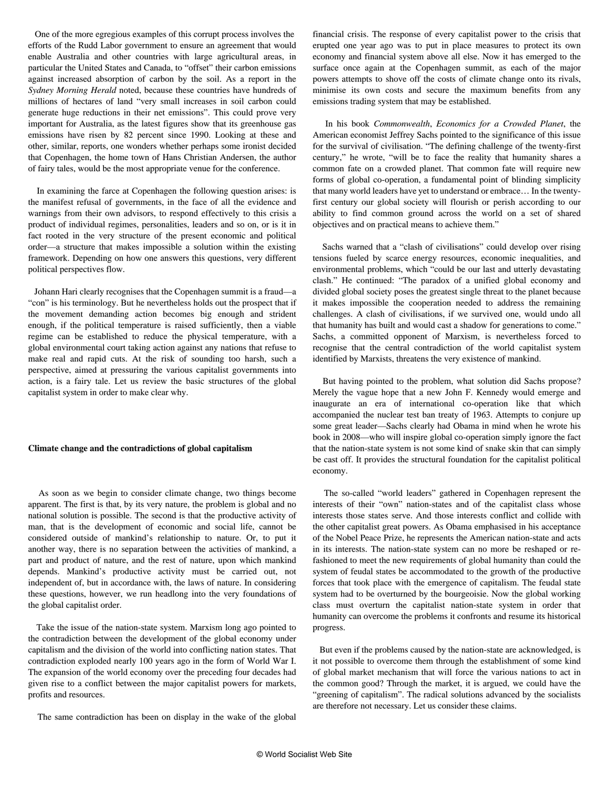One of the more egregious examples of this corrupt process involves the efforts of the Rudd Labor government to ensure an agreement that would enable Australia and other countries with large agricultural areas, in particular the United States and Canada, to "offset" their carbon emissions against increased absorption of carbon by the soil. As a report in the *Sydney Morning Herald* noted, because these countries have hundreds of millions of hectares of land "very small increases in soil carbon could generate huge reductions in their net emissions". This could prove very important for Australia, as the latest figures show that its greenhouse gas emissions have risen by 82 percent since 1990. Looking at these and other, similar, reports, one wonders whether perhaps some ironist decided that Copenhagen, the home town of Hans Christian Andersen, the author of fairy tales, would be the most appropriate venue for the conference.

 In examining the farce at Copenhagen the following question arises: is the manifest refusal of governments, in the face of all the evidence and warnings from their own advisors, to respond effectively to this crisis a product of individual regimes, personalities, leaders and so on, or is it in fact rooted in the very structure of the present economic and political order—a structure that makes impossible a solution within the existing framework. Depending on how one answers this questions, very different political perspectives flow.

 Johann Hari clearly recognises that the Copenhagen summit is a fraud—a "con" is his terminology. But he nevertheless holds out the prospect that if the movement demanding action becomes big enough and strident enough, if the political temperature is raised sufficiently, then a viable regime can be established to reduce the physical temperature, with a global environmental court taking action against any nations that refuse to make real and rapid cuts. At the risk of sounding too harsh, such a perspective, aimed at pressuring the various capitalist governments into action, is a fairy tale. Let us review the basic structures of the global capitalist system in order to make clear why.

#### **Climate change and the contradictions of global capitalism**

 As soon as we begin to consider climate change, two things become apparent. The first is that, by its very nature, the problem is global and no national solution is possible. The second is that the productive activity of man, that is the development of economic and social life, cannot be considered outside of mankind's relationship to nature. Or, to put it another way, there is no separation between the activities of mankind, a part and product of nature, and the rest of nature, upon which mankind depends. Mankind's productive activity must be carried out, not independent of, but in accordance with, the laws of nature. In considering these questions, however, we run headlong into the very foundations of the global capitalist order.

 Take the issue of the nation-state system. Marxism long ago pointed to the contradiction between the development of the global economy under capitalism and the division of the world into conflicting nation states. That contradiction exploded nearly 100 years ago in the form of World War I. The expansion of the world economy over the preceding four decades had given rise to a conflict between the major capitalist powers for markets, profits and resources.

The same contradiction has been on display in the wake of the global

financial crisis. The response of every capitalist power to the crisis that erupted one year ago was to put in place measures to protect its own economy and financial system above all else. Now it has emerged to the surface once again at the Copenhagen summit, as each of the major powers attempts to shove off the costs of climate change onto its rivals, minimise its own costs and secure the maximum benefits from any emissions trading system that may be established.

 In his book *Commonwealth*, *Economics for a Crowded Planet*, the American economist Jeffrey Sachs pointed to the significance of this issue for the survival of civilisation. "The defining challenge of the twenty-first century," he wrote, "will be to face the reality that humanity shares a common fate on a crowded planet. That common fate will require new forms of global co-operation, a fundamental point of blinding simplicity that many world leaders have yet to understand or embrace… In the twentyfirst century our global society will flourish or perish according to our ability to find common ground across the world on a set of shared objectives and on practical means to achieve them."

 Sachs warned that a "clash of civilisations" could develop over rising tensions fueled by scarce energy resources, economic inequalities, and environmental problems, which "could be our last and utterly devastating clash." He continued: "The paradox of a unified global economy and divided global society poses the greatest single threat to the planet because it makes impossible the cooperation needed to address the remaining challenges. A clash of civilisations, if we survived one, would undo all that humanity has built and would cast a shadow for generations to come." Sachs, a committed opponent of Marxism, is nevertheless forced to recognise that the central contradiction of the world capitalist system identified by Marxists, threatens the very existence of mankind.

 But having pointed to the problem, what solution did Sachs propose? Merely the vague hope that a new John F. Kennedy would emerge and inaugurate an era of international co-operation like that which accompanied the nuclear test ban treaty of 1963. Attempts to conjure up some great leader—Sachs clearly had Obama in mind when he wrote his book in 2008—who will inspire global co-operation simply ignore the fact that the nation-state system is not some kind of snake skin that can simply be cast off. It provides the structural foundation for the capitalist political economy.

 The so-called "world leaders" gathered in Copenhagen represent the interests of their "own" nation-states and of the capitalist class whose interests those states serve. And those interests conflict and collide with the other capitalist great powers. As Obama emphasised in his acceptance of the Nobel Peace Prize, he represents the American nation-state and acts in its interests. The nation-state system can no more be reshaped or refashioned to meet the new requirements of global humanity than could the system of feudal states be accommodated to the growth of the productive forces that took place with the emergence of capitalism. The feudal state system had to be overturned by the bourgeoisie. Now the global working class must overturn the capitalist nation-state system in order that humanity can overcome the problems it confronts and resume its historical progress.

 But even if the problems caused by the nation-state are acknowledged, is it not possible to overcome them through the establishment of some kind of global market mechanism that will force the various nations to act in the common good? Through the market, it is argued, we could have the "greening of capitalism". The radical solutions advanced by the socialists are therefore not necessary. Let us consider these claims.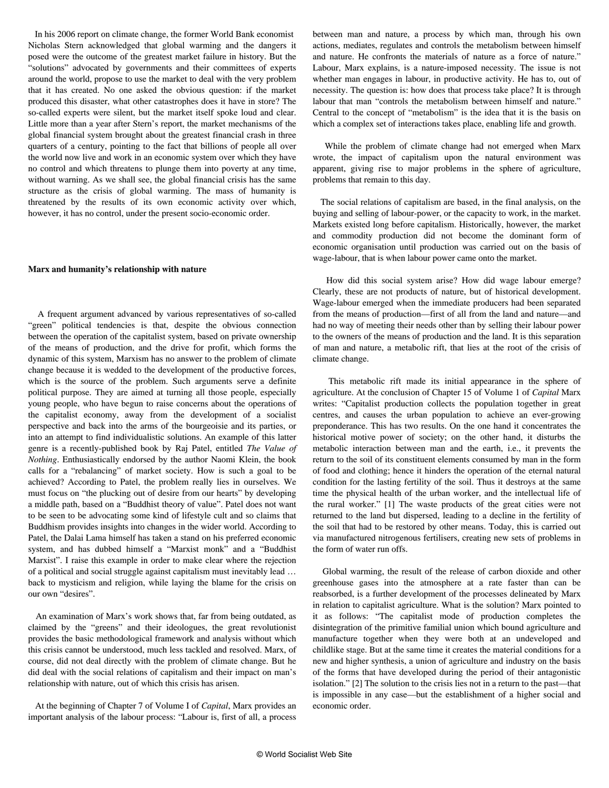In his 2006 report on climate change, the former World Bank economist Nicholas Stern acknowledged that global warming and the dangers it posed were the outcome of the greatest market failure in history. But the "solutions" advocated by governments and their committees of experts around the world, propose to use the market to deal with the very problem that it has created. No one asked the obvious question: if the market produced this disaster, what other catastrophes does it have in store? The so-called experts were silent, but the market itself spoke loud and clear. Little more than a year after Stern's report, the market mechanisms of the global financial system brought about the greatest financial crash in three quarters of a century, pointing to the fact that billions of people all over the world now live and work in an economic system over which they have no control and which threatens to plunge them into poverty at any time, without warning. As we shall see, the global financial crisis has the same structure as the crisis of global warming. The mass of humanity is threatened by the results of its own economic activity over which, however, it has no control, under the present socio-economic order.

#### **Marx and humanity's relationship with nature**

 A frequent argument advanced by various representatives of so-called "green" political tendencies is that, despite the obvious connection between the operation of the capitalist system, based on private ownership of the means of production, and the drive for profit, which forms the dynamic of this system, Marxism has no answer to the problem of climate change because it is wedded to the development of the productive forces, which is the source of the problem. Such arguments serve a definite political purpose. They are aimed at turning all those people, especially young people, who have begun to raise concerns about the operations of the capitalist economy, away from the development of a socialist perspective and back into the arms of the bourgeoisie and its parties, or into an attempt to find individualistic solutions. An example of this latter genre is a recently-published book by Raj Patel, entitled *The Value of Nothing*. Enthusiastically endorsed by the author Naomi Klein, the book calls for a "rebalancing" of market society. How is such a goal to be achieved? According to Patel, the problem really lies in ourselves. We must focus on "the plucking out of desire from our hearts" by developing a middle path, based on a "Buddhist theory of value". Patel does not want to be seen to be advocating some kind of lifestyle cult and so claims that Buddhism provides insights into changes in the wider world. According to Patel, the Dalai Lama himself has taken a stand on his preferred economic system, and has dubbed himself a "Marxist monk" and a "Buddhist Marxist". I raise this example in order to make clear where the rejection of a political and social struggle against capitalism must inevitably lead … back to mysticism and religion, while laying the blame for the crisis on our own "desires".

 An examination of Marx's work shows that, far from being outdated, as claimed by the "greens" and their ideologues, the great revolutionist provides the basic methodological framework and analysis without which this crisis cannot be understood, much less tackled and resolved. Marx, of course, did not deal directly with the problem of climate change. But he did deal with the social relations of capitalism and their impact on man's relationship with nature, out of which this crisis has arisen.

 At the beginning of Chapter 7 of Volume I of *Capital*, Marx provides an important analysis of the labour process: "Labour is, first of all, a process

between man and nature, a process by which man, through his own actions, mediates, regulates and controls the metabolism between himself and nature. He confronts the materials of nature as a force of nature." Labour, Marx explains, is a nature-imposed necessity. The issue is not whether man engages in labour, in productive activity. He has to, out of necessity. The question is: how does that process take place? It is through labour that man "controls the metabolism between himself and nature." Central to the concept of "metabolism" is the idea that it is the basis on which a complex set of interactions takes place, enabling life and growth.

 While the problem of climate change had not emerged when Marx wrote, the impact of capitalism upon the natural environment was apparent, giving rise to major problems in the sphere of agriculture, problems that remain to this day.

 The social relations of capitalism are based, in the final analysis, on the buying and selling of labour-power, or the capacity to work, in the market. Markets existed long before capitalism. Historically, however, the market and commodity production did not become the dominant form of economic organisation until production was carried out on the basis of wage-labour, that is when labour power came onto the market.

 How did this social system arise? How did wage labour emerge? Clearly, these are not products of nature, but of historical development. Wage-labour emerged when the immediate producers had been separated from the means of production—first of all from the land and nature—and had no way of meeting their needs other than by selling their labour power to the owners of the means of production and the land. It is this separation of man and nature, a metabolic rift, that lies at the root of the crisis of climate change.

 This metabolic rift made its initial appearance in the sphere of agriculture. At the conclusion of Chapter 15 of Volume 1 of *Capital* Marx writes: "Capitalist production collects the population together in great centres, and causes the urban population to achieve an ever-growing preponderance. This has two results. On the one hand it concentrates the historical motive power of society; on the other hand, it disturbs the metabolic interaction between man and the earth, i.e., it prevents the return to the soil of its constituent elements consumed by man in the form of food and clothing; hence it hinders the operation of the eternal natural condition for the lasting fertility of the soil. Thus it destroys at the same time the physical health of the urban worker, and the intellectual life of the rural worker." [1] The waste products of the great cities were not returned to the land but dispersed, leading to a decline in the fertility of the soil that had to be restored by other means. Today, this is carried out via manufactured nitrogenous fertilisers, creating new sets of problems in the form of water run offs.

 Global warming, the result of the release of carbon dioxide and other greenhouse gases into the atmosphere at a rate faster than can be reabsorbed, is a further development of the processes delineated by Marx in relation to capitalist agriculture. What is the solution? Marx pointed to it as follows: "The capitalist mode of production completes the disintegration of the primitive familial union which bound agriculture and manufacture together when they were both at an undeveloped and childlike stage. But at the same time it creates the material conditions for a new and higher synthesis, a union of agriculture and industry on the basis of the forms that have developed during the period of their antagonistic isolation." [2] The solution to the crisis lies not in a return to the past—that is impossible in any case—but the establishment of a higher social and economic order.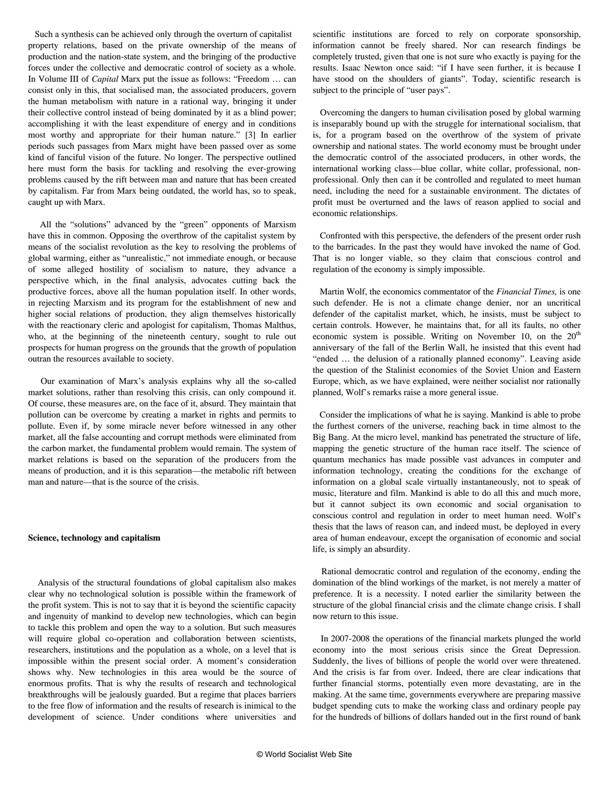Such a synthesis can be achieved only through the overturn of capitalist property relations, based on the private ownership of the means of production and the nation-state system, and the bringing of the productive forces under the collective and democratic control of society as a whole. In Volume III of *Capital* Marx put the issue as follows: "Freedom … can consist only in this, that socialised man, the associated producers, govern the human metabolism with nature in a rational way, bringing it under their collective control instead of being dominated by it as a blind power; accomplishing it with the least expenditure of energy and in conditions most worthy and appropriate for their human nature." [3] In earlier periods such passages from Marx might have been passed over as some kind of fanciful vision of the future. No longer. The perspective outlined here must form the basis for tackling and resolving the ever-growing problems caused by the rift between man and nature that has been created by capitalism. Far from Marx being outdated, the world has, so to speak, caught up with Marx.

 All the "solutions" advanced by the "green" opponents of Marxism have this in common. Opposing the overthrow of the capitalist system by means of the socialist revolution as the key to resolving the problems of global warming, either as "unrealistic," not immediate enough, or because of some alleged hostility of socialism to nature, they advance a perspective which, in the final analysis, advocates cutting back the productive forces, above all the human population itself. In other words, in rejecting Marxism and its program for the establishment of new and higher social relations of production, they align themselves historically with the reactionary cleric and apologist for capitalism, Thomas Malthus, who, at the beginning of the nineteenth century, sought to rule out prospects for human progress on the grounds that the growth of population outran the resources available to society.

 Our examination of Marx's analysis explains why all the so-called market solutions, rather than resolving this crisis, can only compound it. Of course, these measures are, on the face of it, absurd. They maintain that pollution can be overcome by creating a market in rights and permits to pollute. Even if, by some miracle never before witnessed in any other market, all the false accounting and corrupt methods were eliminated from the carbon market, the fundamental problem would remain. The system of market relations is based on the separation of the producers from the means of production, and it is this separation—the metabolic rift between man and nature—that is the source of the crisis.

#### **Science, technology and capitalism**

 Analysis of the structural foundations of global capitalism also makes clear why no technological solution is possible within the framework of the profit system. This is not to say that it is beyond the scientific capacity and ingenuity of mankind to develop new technologies, which can begin to tackle this problem and open the way to a solution. But such measures will require global co-operation and collaboration between scientists, researchers, institutions and the population as a whole, on a level that is impossible within the present social order. A moment's consideration shows why. New technologies in this area would be the source of enormous profits. That is why the results of research and technological breakthroughs will be jealously guarded. But a regime that places barriers to the free flow of information and the results of research is inimical to the development of science. Under conditions where universities and

scientific institutions are forced to rely on corporate sponsorship, information cannot be freely shared. Nor can research findings be completely trusted, given that one is not sure who exactly is paying for the results. Isaac Newton once said: "if I have seen further, it is because I have stood on the shoulders of giants". Today, scientific research is subject to the principle of "user pays".

 Overcoming the dangers to human civilisation posed by global warming is inseparably bound up with the struggle for international socialism, that is, for a program based on the overthrow of the system of private ownership and national states. The world economy must be brought under the democratic control of the associated producers, in other words, the international working class—blue collar, white collar, professional, nonprofessional. Only then can it be controlled and regulated to meet human need, including the need for a sustainable environment. The dictates of profit must be overturned and the laws of reason applied to social and economic relationships.

 Confronted with this perspective, the defenders of the present order rush to the barricades. In the past they would have invoked the name of God. That is no longer viable, so they claim that conscious control and regulation of the economy is simply impossible.

 Martin Wolf, the economics commentator of the *Financial Times,* is one such defender. He is not a climate change denier, nor an uncritical defender of the capitalist market, which, he insists, must be subject to certain controls. However, he maintains that, for all its faults, no other economic system is possible. Writing on November 10, on the  $20<sup>th</sup>$ anniversary of the fall of the Berlin Wall, he insisted that this event had "ended … the delusion of a rationally planned economy". Leaving aside the question of the Stalinist economies of the Soviet Union and Eastern Europe, which, as we have explained, were neither socialist nor rationally planned, Wolf's remarks raise a more general issue.

 Consider the implications of what he is saying. Mankind is able to probe the furthest corners of the universe, reaching back in time almost to the Big Bang. At the micro level, mankind has penetrated the structure of life, mapping the genetic structure of the human race itself. The science of quantum mechanics has made possible vast advances in computer and information technology, creating the conditions for the exchange of information on a global scale virtually instantaneously, not to speak of music, literature and film. Mankind is able to do all this and much more, but it cannot subject its own economic and social organisation to conscious control and regulation in order to meet human need. Wolf's thesis that the laws of reason can, and indeed must, be deployed in every area of human endeavour, except the organisation of economic and social life, is simply an absurdity.

 Rational democratic control and regulation of the economy, ending the domination of the blind workings of the market, is not merely a matter of preference. It is a necessity. I noted earlier the similarity between the structure of the global financial crisis and the climate change crisis. I shall now return to this issue.

 In 2007-2008 the operations of the financial markets plunged the world economy into the most serious crisis since the Great Depression. Suddenly, the lives of billions of people the world over were threatened. And the crisis is far from over. Indeed, there are clear indications that further financial storms, potentially even more devastating, are in the making. At the same time, governments everywhere are preparing massive budget spending cuts to make the working class and ordinary people pay for the hundreds of billions of dollars handed out in the first round of bank